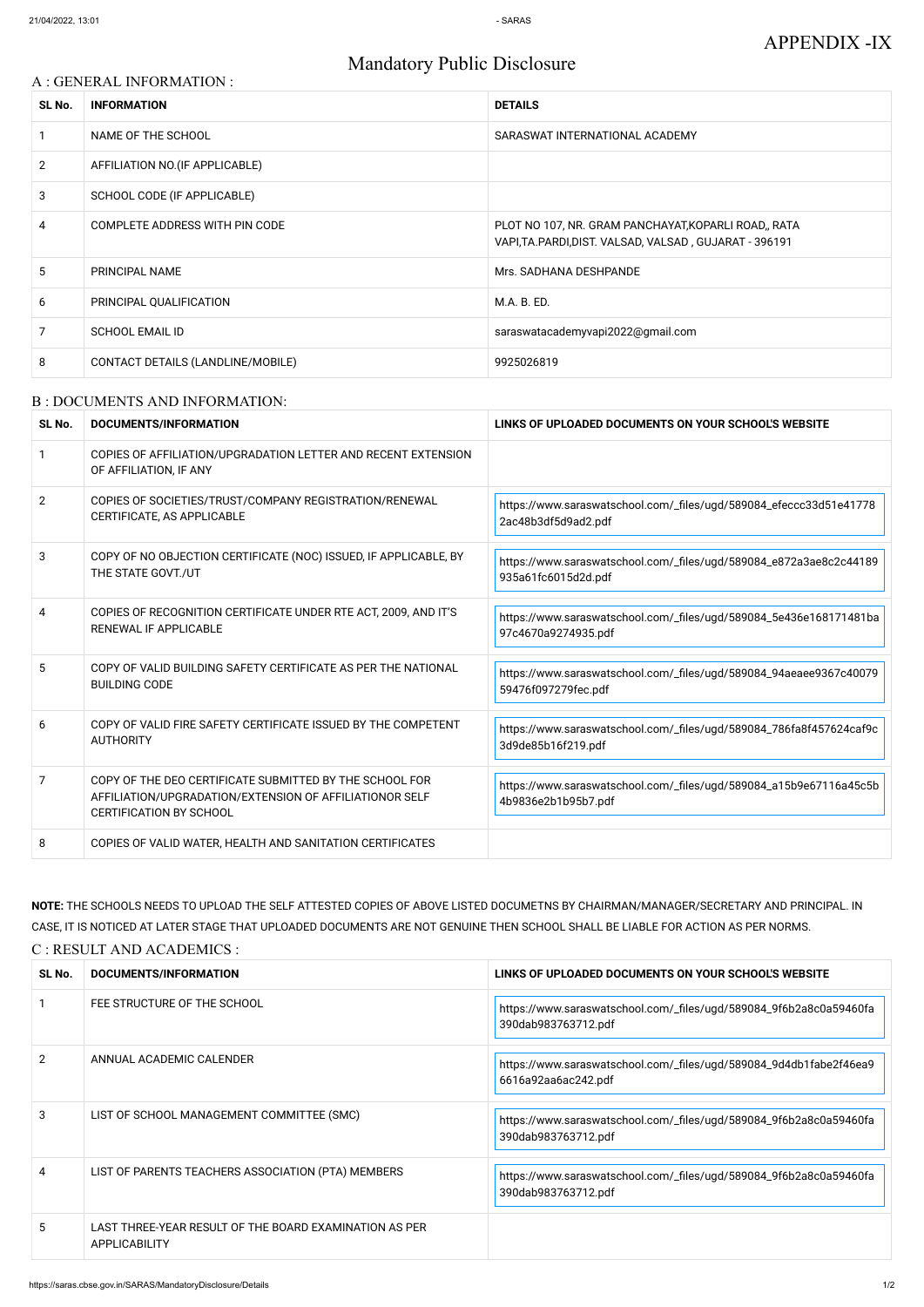# Mandatory Public Disclosure

#### A : GENERAL INFORMATION :

| SL No.         | <b>INFORMATION</b>                | <b>DETAILS</b>                                                                                                  |
|----------------|-----------------------------------|-----------------------------------------------------------------------------------------------------------------|
|                | NAME OF THE SCHOOL                | SARASWAT INTERNATIONAL ACADEMY                                                                                  |
| $\overline{2}$ | AFFILIATION NO. (IF APPLICABLE)   |                                                                                                                 |
| 3              | SCHOOL CODE (IF APPLICABLE)       |                                                                                                                 |
| 4              | COMPLETE ADDRESS WITH PIN CODE    | PLOT NO 107, NR. GRAM PANCHAYAT, KOPARLI ROAD,, RATA<br>VAPI, TA. PARDI, DIST. VALSAD, VALSAD, GUJARAT - 396191 |
| 5              | PRINCIPAL NAME                    | Mrs. SADHANA DESHPANDE                                                                                          |
| 6              | PRINCIPAL QUALIFICATION           | M.A. B. ED.                                                                                                     |
| 7              | <b>SCHOOL EMAIL ID</b>            | saraswatacademyvapi2022@gmail.com                                                                               |
| 8              | CONTACT DETAILS (LANDLINE/MOBILE) | 9925026819                                                                                                      |

#### B : DOCUMENTS AND INFORMATION:

| SL No.         | DOCUMENTS/INFORMATION                                                                                                                                | LINKS OF UPLOADED DOCUMENTS ON YOUR SCHOOL'S WEBSITE                                      |
|----------------|------------------------------------------------------------------------------------------------------------------------------------------------------|-------------------------------------------------------------------------------------------|
|                | COPIES OF AFFILIATION/UPGRADATION LETTER AND RECENT EXTENSION<br>OF AFFILIATION, IF ANY                                                              |                                                                                           |
| $\overline{2}$ | COPIES OF SOCIETIES/TRUST/COMPANY REGISTRATION/RENEWAL<br>CERTIFICATE, AS APPLICABLE                                                                 | https://www.saraswatschool.com/_files/ugd/589084_efeccc33d51e41778<br>2ac48b3df5d9ad2.pdf |
| 3              | COPY OF NO OBJECTION CERTIFICATE (NOC) ISSUED, IF APPLICABLE, BY<br>THE STATE GOVT./UT                                                               | https://www.saraswatschool.com/_files/ugd/589084_e872a3ae8c2c44189<br>935a61fc6015d2d.pdf |
| 4              | COPIES OF RECOGNITION CERTIFICATE UNDER RTE ACT, 2009, AND IT'S<br>RENEWAL IF APPLICABLE                                                             | https://www.saraswatschool.com/_files/ugd/589084_5e436e168171481ba<br>97c4670a9274935.pdf |
| 5              | COPY OF VALID BUILDING SAFETY CERTIFICATE AS PER THE NATIONAL<br><b>BUILDING CODE</b>                                                                | https://www.saraswatschool.com/_files/ugd/589084_94aeaee9367c40079<br>59476f097279fec.pdf |
| 6              | COPY OF VALID FIRE SAFETY CERTIFICATE ISSUED BY THE COMPETENT<br><b>AUTHORITY</b>                                                                    | https://www.saraswatschool.com/_files/ugd/589084_786fa8f457624caf9c<br>3d9de85b16f219.pdf |
| 7              | COPY OF THE DEO CERTIFICATE SUBMITTED BY THE SCHOOL FOR<br>AFFILIATION/UPGRADATION/EXTENSION OF AFFILIATIONOR SELF<br><b>CERTIFICATION BY SCHOOL</b> | https://www.saraswatschool.com/_files/ugd/589084_a15b9e67116a45c5b<br>4b9836e2b1b95b7.pdf |
| 8              | COPIES OF VALID WATER, HEALTH AND SANITATION CERTIFICATES                                                                                            |                                                                                           |

|    | FEE STRUCTURE OF THE SCHOOL                                                    | https://www.saraswatschool.com/_files/ugd/589084_9f6b2a8c0a59460fa<br>390dab983763712.pdf |
|----|--------------------------------------------------------------------------------|-------------------------------------------------------------------------------------------|
| 2  | ANNUAL ACADEMIC CALENDER                                                       | https://www.saraswatschool.com/_files/ugd/589084_9d4db1fabe2f46ea9<br>6616a92aa6ac242.pdf |
| 3  | LIST OF SCHOOL MANAGEMENT COMMITTEE (SMC)                                      | https://www.saraswatschool.com/_files/ugd/589084_9f6b2a8c0a59460fa<br>390dab983763712.pdf |
| 4  | LIST OF PARENTS TEACHERS ASSOCIATION (PTA) MEMBERS                             | https://www.saraswatschool.com/_files/ugd/589084_9f6b2a8c0a59460fa<br>390dab983763712.pdf |
| 5. | LAST THREE-YEAR RESULT OF THE BOARD EXAMINATION AS PER<br><b>APPLICABILITY</b> |                                                                                           |

**NOTE:** THE SCHOOLS NEEDS TO UPLOAD THE SELF ATTESTED COPIES OF ABOVE LISTED DOCUMETNS BY CHAIRMAN/MANAGER/SECRETARY AND PRINCIPAL. IN CASE, IT IS NOTICED AT LATER STAGE THAT UPLOADED DOCUMENTS ARE NOT GENUINE THEN SCHOOL SHALL BE LIABLE FOR ACTION AS PER NORMS.

C : RESULT AND ACADEMICS :